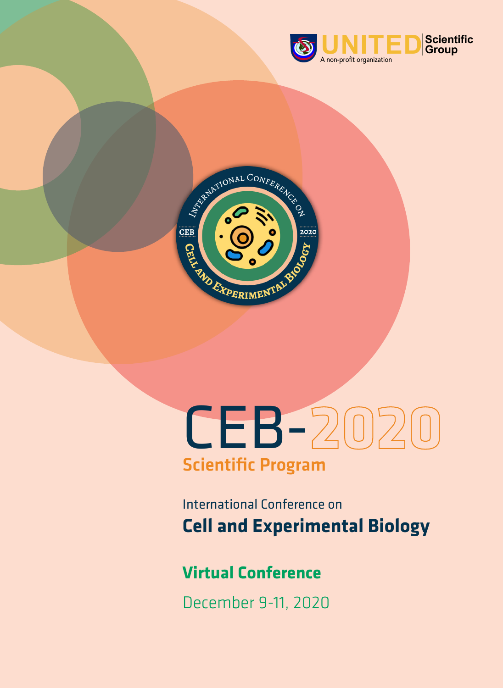



# CEB-202 Scientific Program

International Conference on **Cell and Experimental Biology**

# **Virtual Conference**

December 9-11, 2020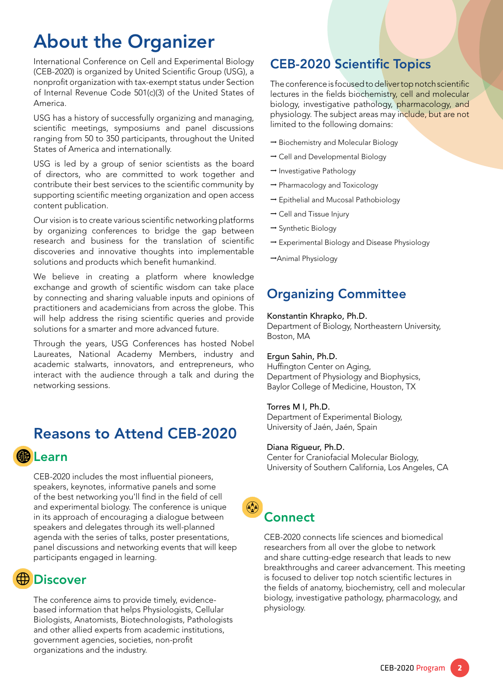# About the Organizer

International Conference on Cell and Experimental Biology (CEB-2020) is organized by United Scientific Group (USG), a nonprofit organization with tax-exempt status under Section of Internal Revenue Code 501(c)(3) of the United States of America.

USG has a history of successfully organizing and managing, scientific meetings, symposiums and panel discussions ranging from 50 to 350 participants, throughout the United States of America and internationally.

USG is led by a group of senior scientists as the board of directors, who are committed to work together and contribute their best services to the scientific community by supporting scientific meeting organization and open access content publication.

Our vision is to create various scientific networking platforms by organizing conferences to bridge the gap between research and business for the translation of scientific discoveries and innovative thoughts into implementable solutions and products which benefit humankind.

We believe in creating a platform where knowledge exchange and growth of scientific wisdom can take place by connecting and sharing valuable inputs and opinions of practitioners and academicians from across the globe. This will help address the rising scientific queries and provide solutions for a smarter and more advanced future.

Through the years, USG Conferences has hosted Nobel Laureates, National Academy Members, industry and academic stalwarts, innovators, and entrepreneurs, who interact with the audience through a talk and during the networking sessions.

## Reasons to Attend CEB-2020

## 脑 Learn

CEB-2020 includes the most influential pioneers, speakers, keynotes, informative panels and some of the best networking you'll find in the field of cell and experimental biology. The conference is unique in its approach of encouraging a dialogue between speakers and delegates through its well-planned agenda with the series of talks, poster presentations, panel discussions and networking events that will keep participants engaged in learning.

# **∰ Discover**

The conference aims to provide timely, evidencebased information that helps Physiologists, Cellular Biologists, Anatomists, Biotechnologists, Pathologists and other allied experts from academic institutions, government agencies, societies, non-profit organizations and the industry.

## CEB-2020 Scientific Topics

The conference is focused to deliver top notch scientific lectures in the fields biochemistry, cell and molecular biology, investigative pathology, pharmacology, and physiology. The subject areas may include, but are not limited to the following domains:

- **→** Biochemistry and Molecular Biology
- **→** Cell and Developmental Biology
- **→** Investigative Pathology
- **→** Pharmacology and Toxicology
- **→** Epithelial and Mucosal Pathobiology
- **→** Cell and Tissue Injury
- **→** Synthetic Biology
- **→** Experimental Biology and Disease Physiology
- **→**Animal Physiology

## Organizing Committee

### Konstantin Khrapko, Ph.D.

Department of Biology, Northeastern University, Boston, MA

### Ergun Sahin, Ph.D.

Huffington Center on Aging, Department of Physiology and Biophysics, Baylor College of Medicine, Houston, TX

### Torres M I, Ph.D.

Department of Experimental Biology, University of Jaén, Jaén, Spain

### Diana Rigueur, Ph.D.

Center for Craniofacial Molecular Biology, University of Southern California, Los Angeles, CA

# **Connect**

 $\odot$ 

CEB-2020 connects life sciences and biomedical researchers from all over the globe to network and share cutting-edge research that leads to new breakthroughs and career advancement. This meeting is focused to deliver top notch scientific lectures in the fields of anatomy, biochemistry, cell and molecular biology, investigative pathology, pharmacology, and physiology.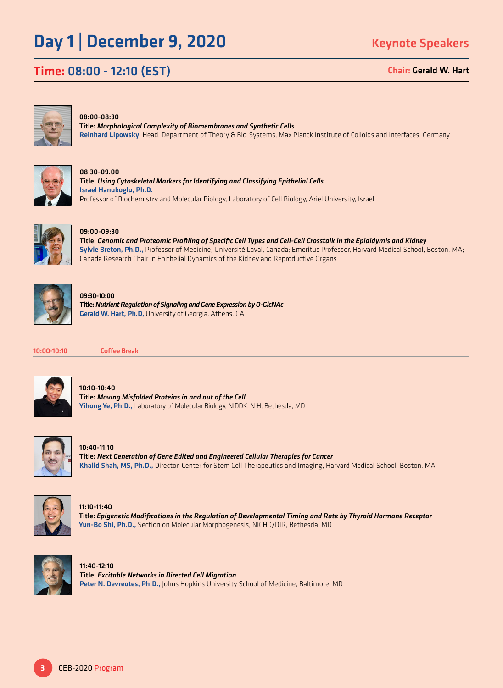# Day 1 | December 9, 2020

Time: 08:00 - 12:10 (EST)

Chair: Gerald W. Hart



#### 08:00-08:30

Title: *Morphological Complexity of Biomembranes and Synthetic Cells* Reinhard Lipowsky, Head, Department of Theory & Bio-Systems, Max Planck Institute of Colloids and Interfaces, Germany



08:30-09.00 Title: *Using Cytoskeletal Markers for Identifying and Classifying Epithelial Cells* Israel Hanukoglu, Ph.D. Professor of Biochemistry and Molecular Biology, Laboratory of Cell Biology, Ariel University, Israel



### 09:00-09:30

Title: *Genomic and Proteomic Profiling of Specific Cell Types and Cell-Cell Crosstalk in the Epididymis and Kidney* Sylvie Breton, Ph.D., Professor of Medicine, Université Laval, Canada; Emeritus Professor, Harvard Medical School, Boston, MA; Canada Research Chair in Epithelial Dynamics of the Kidney and Reproductive Organs



#### 09:30-10:00

Title: *Nutrient Regulation of Signaling and Gene Expression by O-GlcNAc* Gerald W. Hart, Ph.D, University of Georgia, Athens, GA



10:00-10:10 Coffee Break



### 10:10-10:40

Title: *Moving Misfolded Proteins in and out of the Cell* Yihong Ye, Ph.D., Laboratory of Molecular Biology, NIDDK, NIH, Bethesda, MD



10:40-11:10 Title: *Next Generation of Gene Edited and Engineered Cellular Therapies for Cancer* Khalid Shah, MS, Ph.D., Director, Center for Stem Cell Therapeutics and Imaging, Harvard Medical School, Boston, MA



11:10-11:40 Title: *Epigenetic Modifications in the Regulation of Developmental Timing and Rate by Thyroid Hormone Receptor* Yun-Bo Shi, Ph.D., Section on Molecular Morphogenesis, NICHD/DIR, Bethesda, MD



11:40-12:10 Title: *Excitable Networks in Directed Cell Migration* Peter N. Devreotes, Ph.D., Johns Hopkins University School of Medicine, Baltimore, MD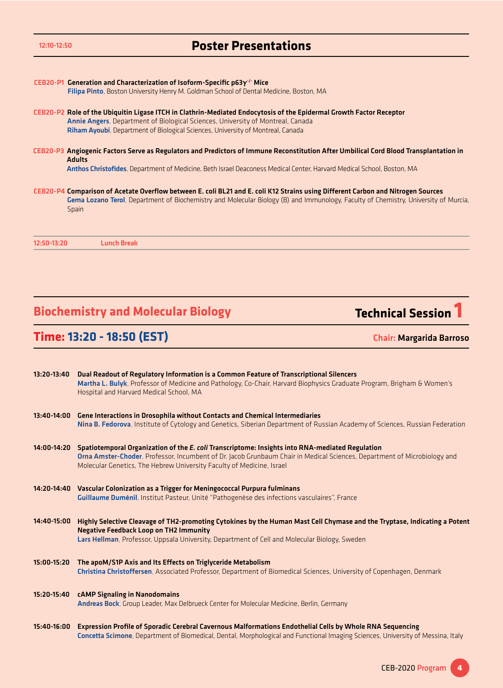| 12:10-12:50 | <b>Poster Presentations</b>                                                                                                                                                                                                                                                               |
|-------------|-------------------------------------------------------------------------------------------------------------------------------------------------------------------------------------------------------------------------------------------------------------------------------------------|
|             | CEB20-P1 Generation and Characterization of Isoform-Specific $p63y'$ Mice                                                                                                                                                                                                                 |
|             | Filipa Pinto, Boston University Henry M. Goldman School of Dental Medicine, Boston, MA                                                                                                                                                                                                    |
|             | CEB20-P2 Role of the Ubiquitin Ligase ITCH in Clathrin-Mediated Endocytosis of the Epidermal Growth Factor Receptor<br>Annie Angers, Department of Biological Sciences, University of Montreal, Canada<br>Riham Ayoubi, Department of Biological Sciences, University of Montreal, Canada |
|             | CEB20-P3 Angiogenic Factors Serve as Regulators and Predictors of Immune Reconstitution After Umbilical Cord Blood Transplantation in<br><b>Adults</b>                                                                                                                                    |
|             | Anthos Christofides, Department of Medicine, Beth Israel Deaconess Medical Center, Harvard Medical School, Boston, MA                                                                                                                                                                     |
|             | CEB20-P4 Comparison of Acetate Overflow between E. coli BL21 and E. coli K12 Strains using Different Carbon and Nitrogen Sources<br>Gema Lozano Terol, Department of Biochemistry and Molecular Biology (B) and Immunology, Faculty of Chemistry, University of Murcia,<br>Spain          |
| 12:50-13:20 | <b>Lunch Break</b>                                                                                                                                                                                                                                                                        |

# **Biochemistry and Molecular Biology Technical Session 1**

**Time: 13:20 - 18:50 (EST)**

Chair: Margarida Barroso

| 13:20-13:40   | Dual Readout of Regulatory Information is a Common Feature of Transcriptional Silencers<br>Martha L. Bulyk, Professor of Medicine and Pathology, Co-Chair, Harvard Biophysics Graduate Program, Brigham & Women's<br>Hospital and Harvard Medical School, MA                                         |
|---------------|------------------------------------------------------------------------------------------------------------------------------------------------------------------------------------------------------------------------------------------------------------------------------------------------------|
| $13:40-14:00$ | <b>Gene Interactions in Drosophila without Contacts and Chemical Intermediaries</b>                                                                                                                                                                                                                  |
|               | Nina B. Fedorova, Institute of Cytology and Genetics, Siberian Department of Russian Academy of Sciences, Russian Federation                                                                                                                                                                         |
| 14:00-14:20   | Spatiotemporal Organization of the E. coli Transcriptome: Insights into RNA-mediated Regulation<br>Orna Amster-Choder, Professor, Incumbent of Dr. Jacob Grunbaum Chair in Medical Sciences, Department of Microbiology and<br>Molecular Genetics, The Hebrew University Faculty of Medicine, Israel |
| 14:20-14:40   | Vascular Colonization as a Trigger for Meningococcal Purpura fulminans<br>Guillaume Duménil, Institut Pasteur, Unité "Pathogenèse des infections vasculaires", France                                                                                                                                |
| 14:40-15:00   | Highly Selective Cleavage of TH2-promoting Cytokines by the Human Mast Cell Chymase and the Tryptase, Indicating a Potent<br><b>Negative Feedback Loop on TH2 Immunity</b><br>Lars Hellman, Professor, Uppsala University, Department of Cell and Molecular Biology, Sweden                          |
|               |                                                                                                                                                                                                                                                                                                      |
| 15:00-15:20   | The apoM/S1P Axis and Its Effects on Triglyceride Metabolism<br>Christina Christoffersen, Associated Professor, Department of Biomedical Sciences, University of Copenhagen, Denmark                                                                                                                 |
| 15:20-15:40   | <b>cAMP Signaling in Nanodomains</b><br>Andreas Bock, Group Leader, Max Delbrueck Center for Molecular Medicine, Berlin, Germany                                                                                                                                                                     |
| 15:40-16:00   | Expression Profile of Sporadic Cerebral Cavernous Malformations Endothelial Cells by Whole RNA Sequencing<br>Concetta Scimone, Department of Biomedical, Dental, Morphological and Functional Imaging Sciences, University of Messina, Italy                                                         |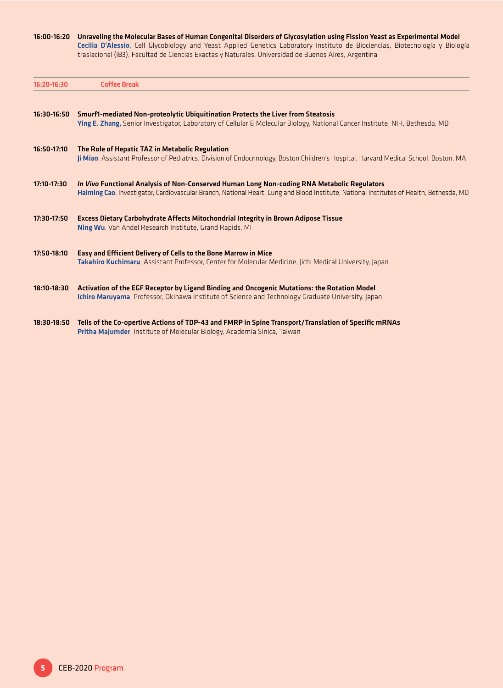#### 16:00-16:20 Unraveling the Molecular Bases of Human Congenital Disorders of Glycosylation using Fission Yeast as Experimental Model

Cecilia D'Alessio, Cell Glycobiology and Yeast Applied Genetics Laboratory Instituto de Biociencias, Biotecnología y Biología traslacional (iB3), Facultad de Ciencias Exactas y Naturales, Universidad de Buenos Aires, Argentina

| 16:20-16:30   | <b>Coffee Break</b>                                                                                                                                                                                                                    |
|---------------|----------------------------------------------------------------------------------------------------------------------------------------------------------------------------------------------------------------------------------------|
| $16:30-16:50$ | Smurf1-mediated Non-proteolytic Ubiquitination Protects the Liver from Steatosis<br>Ying E. Zhang, Senior Investigator, Laboratory of Cellular & Molecular Biology, National Cancer Institute, NIH, Bethesda, MD                       |
| 16:50-17:10   | The Role of Hepatic TAZ in Metabolic Regulation<br>Ji Miao, Assistant Professor of Pediatrics, Division of Endocrinology, Boston Children's Hospital, Harvard Medical School, Boston, MA                                               |
| 17:10-17:30   | In Vivo Functional Analysis of Non-Conserved Human Long Non-coding RNA Metabolic Regulators<br>Haiming Cao, Investigator, Cardiovascular Branch, National Heart, Lung and Blood Institute, National Institutes of Health, Bethesda, MD |
| 17:30-17:50   | <b>Excess Dietary Carbohydrate Affects Mitochondrial Integrity in Brown Adipose Tissue</b><br>Ning Wu, Van Andel Research Institute, Grand Rapids, MI                                                                                  |
| 17:50-18:10   | Easy and Efficient Delivery of Cells to the Bone Marrow in Mice<br>Takahiro Kuchimaru, Assistant Professor, Center for Molecular Medicine, Jichi Medical University, Japan                                                             |
| 18:10-18:30   | Activation of the EGF Receptor by Ligand Binding and Oncogenic Mutations: the Rotation Model<br>Ichiro Maruyama, Professor, Okinawa Institute of Science and Technology Graduate University, Japan                                     |
|               |                                                                                                                                                                                                                                        |

18:30-18:50 Tells of the Co-opertive Actions of TDP-43 and FMRP in Spine Transport/Translation of Specific mRNAs Pritha Majumder, Institute of Molecular Biology, Academia Sinica, Taiwan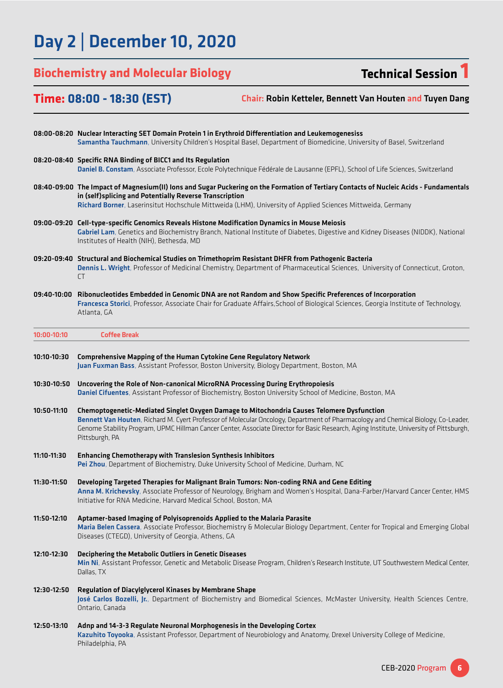# Day 2 | December 10, 2020

# **Biochemistry and Molecular Biology Technical Session 1**

## **Time: 08:00 - 18:30 (EST)**

Chair: Robin Ketteler, Bennett Van Houten and Tuyen Dang

|             | 08:00-08:20 Nuclear Interacting SET Domain Protein 1 in Erythroid Differentiation and Leukemogenesiss<br>Samantha Tauchmann, University Children's Hospital Basel, Department of Biomedicine, University of Basel, Switzerland                                                                                                                                                               |
|-------------|----------------------------------------------------------------------------------------------------------------------------------------------------------------------------------------------------------------------------------------------------------------------------------------------------------------------------------------------------------------------------------------------|
|             | 08:20-08:40 Specific RNA Binding of BICC1 and Its Regulation<br>Daniel B. Constam, Associate Professor, Ecole Polytechnique Fédérale de Lausanne (EPFL), School of Life Sciences, Switzerland                                                                                                                                                                                                |
|             | 08:40-09:00 The Impact of Magnesium(II) lons and Sugar Puckering on the Formation of Tertiary Contacts of Nucleic Acids - Fundamentals<br>in (self) splicing and Potentially Reverse Transcription<br>Richard Borner, Laserinsitut Hochschule Mittweida (LHM), University of Applied Sciences Mittweida, Germany                                                                             |
|             | 09:00-09:20 Cell-type-specific Genomics Reveals Histone Modification Dynamics in Mouse Meiosis<br>Gabriel Lam, Genetics and Biochemistry Branch, National Institute of Diabetes, Digestive and Kidney Diseases (NIDDK), National<br>Institutes of Health (NIH), Bethesda, MD                                                                                                                 |
|             | 09:20-09:40 Structural and Biochemical Studies on Trimethoprim Resistant DHFR from Pathogenic Bacteria<br>Dennis L. Wright, Professor of Medicinal Chemistry, Department of Pharmaceutical Sciences, University of Connecticut, Groton,<br>CT                                                                                                                                                |
|             | 09:40-10:00 Ribonucleotides Embedded in Genomic DNA are not Random and Show Specific Preferences of Incorporation<br>Francesca Storici, Professor, Associate Chair for Graduate Affairs, School of Biological Sciences, Georgia Institute of Technology,<br>Atlanta, GA                                                                                                                      |
| 10:00-10:10 | <b>Coffee Break</b>                                                                                                                                                                                                                                                                                                                                                                          |
| 10:10-10:30 | Comprehensive Mapping of the Human Cytokine Gene Regulatory Network<br>Juan Fuxman Bass, Assistant Professor, Boston University, Biology Department, Boston, MA                                                                                                                                                                                                                              |
| 10:30-10:50 | Uncovering the Role of Non-canonical MicroRNA Processing During Erythropoiesis<br>Daniel Cifuentes, Assistant Professor of Biochemistry, Boston University School of Medicine, Boston, MA                                                                                                                                                                                                    |
| 10:50-11:10 | Chemoptogenetic-Mediated Singlet Oxygen Damage to Mitochondria Causes Telomere Dysfunction<br>Bennett Van Houten, Richard M. Cyert Professor of Molecular Oncology, Department of Pharmacology and Chemical Biology, Co-Leader,<br>Genome Stability Program, UPMC Hillman Cancer Center, Associate Director for Basic Research, Aging Institute, University of Pittsburgh,<br>Pittsburgh, PA |
| 11:10-11:30 | <b>Enhancing Chemotherapy with Translesion Synthesis Inhibitors</b><br>Pei Zhou, Department of Biochemistry, Duke University School of Medicine, Durham, NC                                                                                                                                                                                                                                  |
| 11:30-11:50 | Developing Targeted Therapies for Malignant Brain Tumors: Non-coding RNA and Gene Editing<br>Anna M. Krichevsky, Associate Professor of Neurology, Brigham and Women's Hospital, Dana-Farber/Harvard Cancer Center, HMS<br>Initiative for RNA Medicine, Harvard Medical School, Boston, MA                                                                                                   |
| 11:50-12:10 | Aptamer-based Imaging of Polyisoprenoids Applied to the Malaria Parasite<br>Maria Belen Cassera, Associate Professor, Biochemistry & Molecular Biology Department, Center for Tropical and Emerging Global<br>Diseases (CTEGD), University of Georgia, Athens, GA                                                                                                                            |
| 12:10-12:30 | Deciphering the Metabolic Outliers in Genetic Diseases<br>Min Ni, Assistant Professor, Genetic and Metabolic Disease Program, Children's Research Institute, UT Southwestern Medical Center,<br>Dallas, TX                                                                                                                                                                                   |
| 12:30-12:50 | Regulation of Diacylglycerol Kinases by Membrane Shape<br>José Carlos Bozelli, Jr., Department of Biochemistry and Biomedical Sciences, McMaster University, Health Sciences Centre,<br>Ontario, Canada                                                                                                                                                                                      |
| 12:50-13:10 | Adnp and 14-3-3 Regulate Neuronal Morphogenesis in the Developing Cortex<br>Kazuhito Toyooka, Assistant Professor, Department of Neurobiology and Anatomy, Drexel University College of Medicine,<br>Philadelphia, PA                                                                                                                                                                        |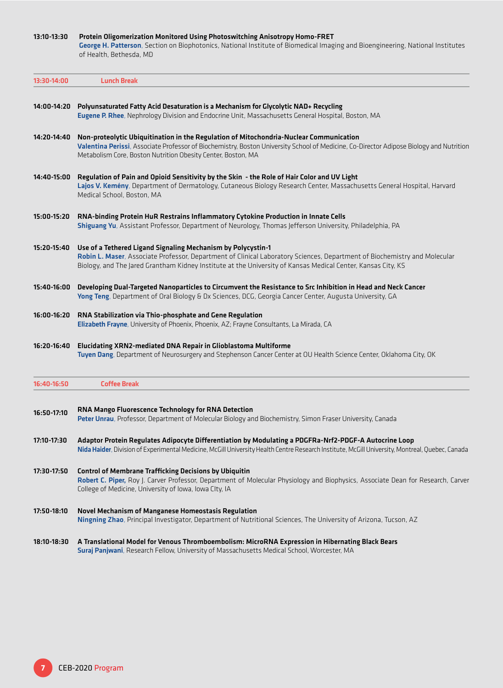| 13:10-13:30 | Protein Oligomerization Monitored Using Photoswitching Anisotropy Homo-FRET                                                    |
|-------------|--------------------------------------------------------------------------------------------------------------------------------|
|             | George H. Patterson, Section on Biophotonics, National Institute of Biomedical Imaging and Bioengineering, National Institutes |
|             | of Health. Bethesda. MD                                                                                                        |

| 13:30-14:00 | <b>Lunch Break</b>                                                                                                                                                                                                                                                                                        |
|-------------|-----------------------------------------------------------------------------------------------------------------------------------------------------------------------------------------------------------------------------------------------------------------------------------------------------------|
| 14:00-14:20 | Polyunsaturated Fatty Acid Desaturation is a Mechanism for Glycolytic NAD+ Recycling<br>Eugene P. Rhee, Nephrology Division and Endocrine Unit, Massachusetts General Hospital, Boston, MA                                                                                                                |
| 14:20-14:40 | Non-proteolytic Ubiquitination in the Regulation of Mitochondria-Nuclear Communication<br>Valentina Perissi, Associate Professor of Biochemistry, Boston University School of Medicine, Co-Director Adipose Biology and Nutrition<br>Metabolism Core, Boston Nutrition Obesity Center, Boston, MA         |
| 14:40-15:00 | Regulation of Pain and Opioid Sensitivity by the Skin - the Role of Hair Color and UV Light<br>Lajos V. Kemény, Department of Dermatology, Cutaneous Biology Research Center, Massachusetts General Hospital, Harvard<br>Medical School, Boston, MA                                                       |
| 15:00-15:20 | RNA-binding Protein HuR Restrains Inflammatory Cytokine Production in Innate Cells<br>Shiguang Yu, Assistant Professor, Department of Neurology, Thomas Jefferson University, Philadelphia, PA                                                                                                            |
| 15:20-15:40 | Use of a Tethered Ligand Signaling Mechanism by Polycystin-1<br>Robin L. Maser, Associate Professor, Department of Clinical Laboratory Sciences, Department of Biochemistry and Molecular<br>Biology, and The Jared Grantham Kidney Institute at the University of Kansas Medical Center, Kansas City, KS |
| 15:40-16:00 | Developing Dual-Targeted Nanoparticles to Circumvent the Resistance to Src Inhibition in Head and Neck Cancer<br>Yong Teng, Department of Oral Biology & Dx Sciences, DCG, Georgia Cancer Center, Augusta University, GA                                                                                  |
| 16:00-16:20 | RNA Stabilization via Thio-phosphate and Gene Regulation<br>Elizabeth Frayne, University of Phoenix, Phoenix, AZ; Frayne Consultants, La Mirada, CA                                                                                                                                                       |
| 16:20-16:40 | Elucidating XRN2-mediated DNA Repair in Glioblastoma Multiforme<br>Tuyen Dang, Department of Neurosurgery and Stephenson Cancer Center at OU Health Science Center, Oklahoma City, OK                                                                                                                     |
| 16:40-16:50 | <b>Coffee Break</b>                                                                                                                                                                                                                                                                                       |
| 16:50-17:10 | RNA Mango Fluorescence Technology for RNA Detection<br>Peter Unrau, Professor, Department of Molecular Biology and Biochemistry, Simon Fraser University, Canada                                                                                                                                          |
| 17:10-17:30 | Adaptor Protein Regulates Adipocyte Differentiation by Modulating a PDGFRa-Nrf2-PDGF-A Autocrine Loop<br>Nida Haider, Division of Experimental Medicine, McGill University Health Centre Research Institute, McGill University, Montreal, Quebec, Canada                                                  |
| 17:30-17:50 | <b>Control of Membrane Trafficking Decisions by Ubiquitin</b><br>Robert C. Piper, Roy J. Carver Professor, Department of Molecular Physiology and Biophysics, Associate Dean for Research, Carver<br>College of Medicine, University of Iowa, Iowa CIty, IA                                               |
| 17:50-18:10 | <b>Novel Mechanism of Manganese Homeostasis Regulation</b><br>Ningning Zhao, Principal Investigator, Department of Nutritional Sciences, The University of Arizona, Tucson, AZ                                                                                                                            |
| 18:10-18:30 | A Translational Model for Venous Thromboembolism: MicroRNA Expression in Hibernating Black Bears<br>Suraj Panjwani, Research Fellow, University of Massachusetts Medical School, Worcester, MA                                                                                                            |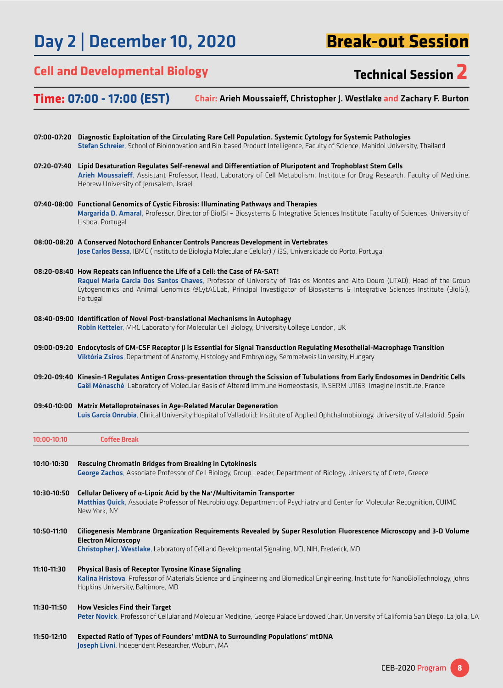# Day 2 | December 10, 2020

**Break-out Session**

## **Cell and Developmental Biology Technical Session 2**

**Time: 07:00 - 17:00 (EST)** Chair: Arieh Moussaieff, Christopher J. Westlake and Zachary F. Burton

|               | 07:00-07:20 Diagnostic Exploitation of the Circulating Rare Cell Population. Systemic Cytology for Systemic Pathologies<br>Stefan Schreier, School of Bioinnovation and Bio-based Product Intelligence, Faculty of Science, Mahidol University, Thailand                                                                                              |
|---------------|-------------------------------------------------------------------------------------------------------------------------------------------------------------------------------------------------------------------------------------------------------------------------------------------------------------------------------------------------------|
| 07:20-07:40   | Lipid Desaturation Regulates Self-renewal and Differentiation of Pluripotent and Trophoblast Stem Cells<br>Arieh Moussaieff, Assistant Professor, Head, Laboratory of Cell Metabolism, Institute for Drug Research, Faculty of Medicine,<br>Hebrew University of Jerusalem, Israel                                                                    |
|               | 07:40-08:00 Functional Genomics of Cystic Fibrosis: Illuminating Pathways and Therapies<br>Margarida D. Amaral, Professor, Director of BiolSI - Biosystems & Integrative Sciences Institute Faculty of Sciences, University of<br>Lisboa, Portugal                                                                                                    |
|               | 08:00-08:20 A Conserved Notochord Enhancer Controls Pancreas Development in Vertebrates<br>Jose Carlos Bessa, IBMC (Instituto de Biologia Molecular e Celular) / i3S, Universidade do Porto, Portugal                                                                                                                                                 |
|               | 08:20-08:40 How Repeats can Influence the Life of a Cell: the Case of FA-SAT!<br>Raquel Maria Garcia Dos Santos Chaves, Professor of University of Trás-os-Montes and Alto Douro (UTAD), Head of the Group<br>Cytogenomics and Animal Genomics @CytAGLab, Principal Investigator of Biosystems & Integrative Sciences Institute (BioISI),<br>Portugal |
|               | 08:40-09:00 Identification of Novel Post-translational Mechanisms in Autophagy<br>Robin Ketteler, MRC Laboratory for Molecular Cell Biology, University College London, UK                                                                                                                                                                            |
|               | 09:00-09:20 Endocytosis of GM-CSF Receptor $\beta$ is Essential for Signal Transduction Regulating Mesothelial-Macrophage Transition<br>Viktória Zsiros, Department of Anatomy, Histology and Embryology, Semmelweis University, Hungary                                                                                                              |
|               | 09:20-09:40 Kinesin-1 Regulates Antigen Cross-presentation through the Scission of Tubulations from Early Endosomes in Dendritic Cells<br>Gaël Ménasché, Laboratory of Molecular Basis of Altered Immune Homeostasis, INSERM U1163, Imagine Institute, France                                                                                         |
|               | 09:40-10:00 Matrix Metalloproteinases in Age-Related Macular Degeneration<br>Luis García Onrubia, Clinical University Hospital of Valladolid; Institute of Applied Ophthalmobiology, University of Valladolid, Spain                                                                                                                                  |
| $10:00-10:10$ | <b>Coffee Break</b>                                                                                                                                                                                                                                                                                                                                   |
| 10:10-10:30   | Rescuing Chromatin Bridges from Breaking in Cytokinesis<br>George Zachos, Associate Professor of Cell Biology, Group Leader, Department of Biology, University of Crete, Greece                                                                                                                                                                       |
| 10:30-10:50   | Cellular Delivery of $\alpha$ -Lipoic Acid by the Na <sup>+</sup> /Multivitamin Transporter<br>Matthias Quick, Associate Professor of Neurobiology, Department of Psychiatry and Center for Molecular Recognition, CUIMC<br>New York, NY                                                                                                              |
| 10:50-11:10   | Ciliogenesis Membrane Organization Requirements Revealed by Super Resolution Fluorescence Microscopy and 3-D Volume<br><b>Electron Microscopy</b><br>Christopher J. Westlake, Laboratory of Cell and Developmental Signaling, NCI, NIH, Frederick, MD                                                                                                 |
| 11:10-11:30   | Physical Basis of Receptor Tyrosine Kinase Signaling<br>Kalina Hristova, Professor of Materials Science and Engineering and Biomedical Engineering, Institute for NanoBioTechnology, Johns<br>Hopkins University, Baltimore, MD                                                                                                                       |
| 11:30-11:50   | <b>How Vesicles Find their Target</b><br>Peter Novick, Professor of Cellular and Molecular Medicine, George Palade Endowed Chair, University of California San Diego, La Jolla, CA                                                                                                                                                                    |
| 11:50-12:10   | Expected Ratio of Types of Founders' mtDNA to Surrounding Populations' mtDNA<br>Joseph Livni, Independent Researcher, Woburn, MA                                                                                                                                                                                                                      |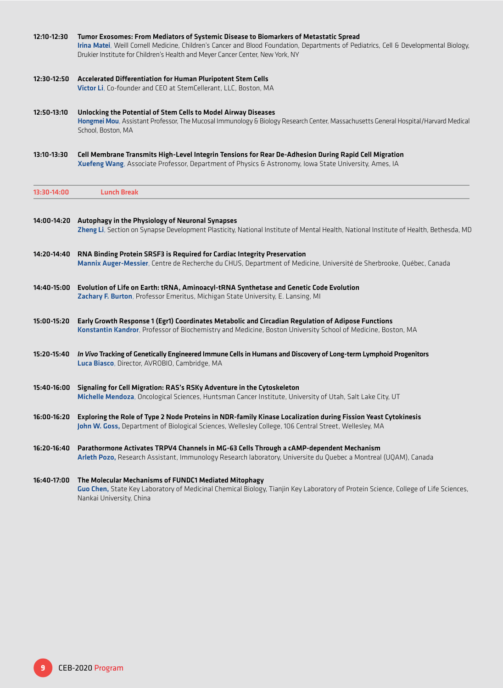| 12:10-12:30 | Tumor Exosomes: From Mediators of Systemic Disease to Biomarkers of Metastatic Spread<br>Irina Matei, Weill Cornell Medicine, Children's Cancer and Blood Foundation, Departments of Pediatrics, Cell & Developmental Biology,<br>Drukier Institute for Children's Health and Meyer Cancer Center, New York, NY |
|-------------|-----------------------------------------------------------------------------------------------------------------------------------------------------------------------------------------------------------------------------------------------------------------------------------------------------------------|
| 12:30-12:50 | Accelerated Differentiation for Human Pluripotent Stem Cells<br>Victor Li, Co-founder and CEO at StemCellerant, LLC, Boston, MA                                                                                                                                                                                 |
| 12:50-13:10 | Unlocking the Potential of Stem Cells to Model Airway Diseases<br>Hongmei Mou, Assistant Professor, The Mucosal Immunology & Biology Research Center, Massachusetts General Hospital/Harvard Medical<br>School, Boston, MA                                                                                      |
| 13:10-13:30 | Cell Membrane Transmits High-Level Integrin Tensions for Rear De-Adhesion During Rapid Cell Migration<br>Xuefeng Wang, Associate Professor, Department of Physics & Astronomy, Iowa State University, Ames, IA                                                                                                  |
| 13:30-14:00 | <b>Lunch Break</b>                                                                                                                                                                                                                                                                                              |
|             | 14:00-14:20 Autophagy in the Physiology of Neuronal Synapses<br>Zheng Li, Section on Synapse Development Plasticity, National Institute of Mental Health, National Institute of Health, Bethesda, MD                                                                                                            |
| 14:20-14:40 | RNA Binding Protein SRSF3 is Required for Cardiac Integrity Preservation<br>Mannix Auger-Messier, Centre de Recherche du CHUS, Department of Medicine, Université de Sherbrooke, Québec, Canada                                                                                                                 |
| 14:40-15:00 | Evolution of Life on Earth: tRNA, Aminoacyl-tRNA Synthetase and Genetic Code Evolution<br>Zachary F. Burton, Professor Emeritus, Michigan State University, E. Lansing, MI                                                                                                                                      |
| 15:00-15:20 | Early Growth Response 1 (Egr1) Coordinates Metabolic and Circadian Regulation of Adipose Functions<br>Konstantin Kandror, Professor of Biochemistry and Medicine, Boston University School of Medicine, Boston, MA                                                                                              |
|             | 15:20-15:40 In Vivo Tracking of Genetically Engineered Immune Cells in Humans and Discovery of Long-term Lymphoid Progenitors<br>Luca Biasco, Director, AVROBIO, Cambridge, MA                                                                                                                                  |
| 15:40-16:00 | Signaling for Cell Migration: RAS's RSKy Adventure in the Cytoskeleton<br>Michelle Mendoza, Oncological Sciences, Huntsman Cancer Institute, University of Utah, Salt Lake City, UT                                                                                                                             |
| 16:00-16:20 | Exploring the Role of Type 2 Node Proteins in NDR-family Kinase Localization during Fission Yeast Cytokinesis<br>John W. Goss, Department of Biological Sciences, Wellesley College, 106 Central Street, Wellesley, MA                                                                                          |
| 16:20-16:40 | Parathormone Activates TRPV4 Channels in MG-63 Cells Through a cAMP-dependent Mechanism<br>Arleth Pozo, Research Assistant, Immunology Research laboratory, Universite du Quebec a Montreal (UQAM), Canada                                                                                                      |
| 16:40-17:00 | The Molecular Mechanisms of FUNDC1 Mediated Mitophagy<br>Guo Chen, State Key Laboratory of Medicinal Chemical Biology, Tianjin Key Laboratory of Protein Science, College of Life Sciences,<br>Nankai University, China                                                                                         |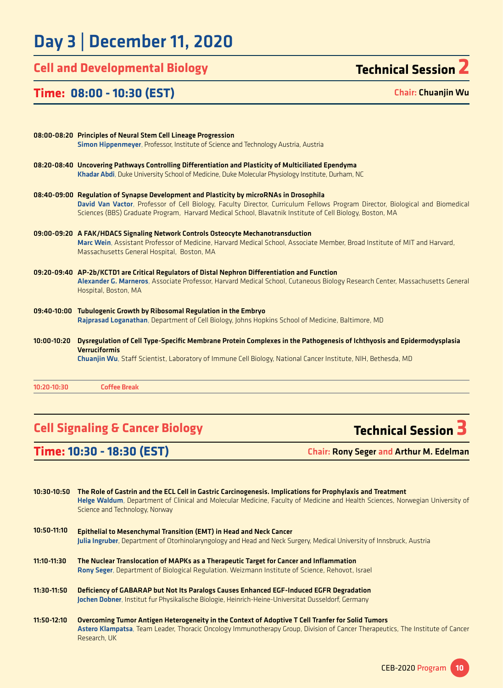# Day 3 | December 11, 2020

## **Cell and Developmental Biology Technical Session 2**

### **Time: 08:00 - 10:30 (EST)**

Chair: Chuanjin Wu

|             | 08:00-08:20 Principles of Neural Stem Cell Lineage Progression<br>Simon Hippenmeyer, Professor, Institute of Science and Technology Austria, Austria                                                                                                                                                                                 |
|-------------|--------------------------------------------------------------------------------------------------------------------------------------------------------------------------------------------------------------------------------------------------------------------------------------------------------------------------------------|
|             | 08:20-08:40 Uncovering Pathways Controlling Differentiation and Plasticity of Multiciliated Ependyma<br>Khadar Abdi, Duke University School of Medicine, Duke Molecular Physiology Institute, Durham, NC                                                                                                                             |
|             | 08:40-09:00 Regulation of Synapse Development and Plasticity by microRNAs in Drosophila<br>David Van Vactor, Professor of Cell Biology, Faculty Director, Curriculum Fellows Program Director, Biological and Biomedical<br>Sciences (BBS) Graduate Program, Harvard Medical School, Blavatnik Institute of Cell Biology, Boston, MA |
|             | 09:00-09:20 A FAK/HDAC5 Signaling Network Controls Osteocyte Mechanotransduction<br>Marc Wein, Assistant Professor of Medicine, Harvard Medical School, Associate Member, Broad Institute of MIT and Harvard,<br>Massachusetts General Hospital, Boston, MA                                                                          |
|             | 09:20-09:40 AP-2b/KCTD1 are Critical Regulators of Distal Nephron Differentiation and Function<br>Alexander G. Marneros, Associate Professor, Harvard Medical School, Cutaneous Biology Research Center, Massachusetts General<br>Hospital, Boston, MA                                                                               |
|             | 09:40-10:00 Tubulogenic Growth by Ribosomal Regulation in the Embryo<br>Rajprasad Loganathan, Department of Cell Biology, Johns Hopkins School of Medicine, Baltimore, MD                                                                                                                                                            |
| 10:00-10:20 | Dysregulation of Cell Type-Specific Membrane Protein Complexes in the Pathogenesis of Ichthyosis and Epidermodysplasia<br><b>Verruciformis</b><br>Chuanjin Wu, Staff Scientist, Laboratory of Immune Cell Biology, National Cancer Institute, NIH, Bethesda, MD                                                                      |
| 10:20-10:30 | <b>Coffee Break</b>                                                                                                                                                                                                                                                                                                                  |

## **Cell Signaling & Cancer Biology Technical Session 3**

**Time: 10:30 - 18:30 (EST)** Chair: Rony Seger and Arthur M. Edelman

| 10:30-10:50 | The Role of Gastrin and the ECL Cell in Gastric Carcinogenesis. Implications for Prophylaxis and Treatment<br>Helge Waldum, Department of Clinical and Molecular Medicine, Faculty of Medicine and Health Sciences, Norwegian University of<br>Science and Technology, Norway |
|-------------|-------------------------------------------------------------------------------------------------------------------------------------------------------------------------------------------------------------------------------------------------------------------------------|
| 10:50-11:10 | <b>Epithelial to Mesenchymal Transition (EMT) in Head and Neck Cancer</b><br>Julia Ingruber, Department of Otorhinolaryngology and Head and Neck Surgery, Medical University of Innsbruck, Austria                                                                            |
| 11:10-11:30 | The Nuclear Translocation of MAPKs as a Therapeutic Target for Cancer and Inflammation<br>Rony Seger, Department of Biological Regulation. Weizmann Institute of Science, Rehovot, Israel                                                                                     |
| 11:30-11:50 | Deficiency of GABARAP but Not Its Paralogs Causes Enhanced EGF-Induced EGFR Degradation<br>Jochen Dobner, Institut fur Physikalische Biologie, Heinrich-Heine-Universitat Dusseldorf, Germany                                                                                 |
| 11:50-12:10 | <b>Overcoming Tumor Antigen Heterogeneity in the Context of Adoptive T Cell Tranfer for Solid Tumors</b><br>Astero Klampatsa, Team Leader, Thoracic Oncology Immunotherapy Group, Division of Cancer Therapeutics, The Institute of Cancer<br>Research, UK                    |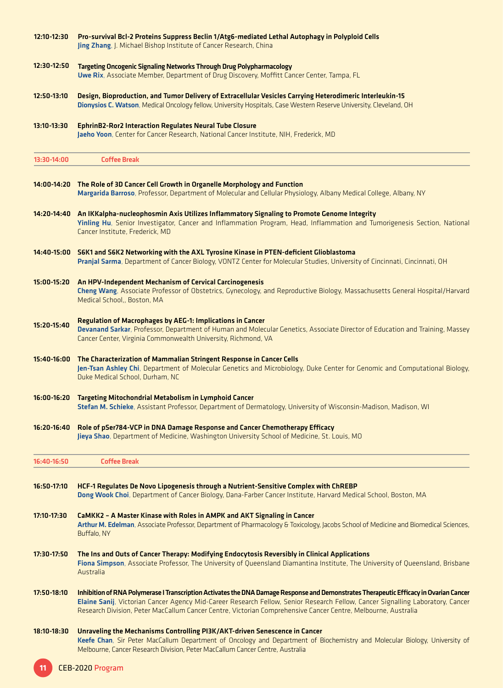| 12:10-12:30 | Pro-survival Bcl-2 Proteins Suppress Beclin 1/Atg6-mediated Lethal Autophagy in Polyploid Cells<br>Jing Zhang, J. Michael Bishop Institute of Cancer Research, China                                                                                                                                                                                                                      |
|-------------|-------------------------------------------------------------------------------------------------------------------------------------------------------------------------------------------------------------------------------------------------------------------------------------------------------------------------------------------------------------------------------------------|
| 12:30-12:50 | <b>Targeting Oncogenic Signaling Networks Through Drug Polypharmacology</b><br>Uwe Rix, Associate Member, Department of Drug Discovery, Moffitt Cancer Center, Tampa, FL                                                                                                                                                                                                                  |
| 12:50-13:10 | Design, Bioproduction, and Tumor Delivery of Extracellular Vesicles Carrying Heterodimeric Interleukin-15<br>Dionysios C. Watson, Medical Oncology fellow, University Hospitals, Case Western Reserve University, Cleveland, OH                                                                                                                                                           |
| 13:10-13:30 | <b>EphrinB2-Ror2 Interaction Regulates Neural Tube Closure</b><br>Jaeho Yoon, Center for Cancer Research, National Cancer Institute, NIH, Frederick, MD                                                                                                                                                                                                                                   |
| 13:30-14:00 | <b>Coffee Break</b>                                                                                                                                                                                                                                                                                                                                                                       |
|             | 14:00-14:20 The Role of 3D Cancer Cell Growth in Organelle Morphology and Function<br>Margarida Barroso, Professor, Department of Molecular and Cellular Physiology, Albany Medical College, Albany, NY                                                                                                                                                                                   |
|             | 14:20-14:40 An IKKalpha-nucleophosmin Axis Utilizes Inflammatory Signaling to Promote Genome Integrity<br>Yinling Hu, Senior Investigator, Cancer and Inflammation Program, Head, Inflammation and Tumorigenesis Section, National<br>Cancer Institute, Frederick, MD                                                                                                                     |
| 14:40-15:00 | S6K1 and S6K2 Networking with the AXL Tyrosine Kinase in PTEN-deficient Glioblastoma<br>Pranjal Sarma, Department of Cancer Biology, VONTZ Center for Molecular Studies, University of Cincinnati, Cincinnati, OH                                                                                                                                                                         |
| 15:00-15:20 | An HPV-Independent Mechanism of Cervical Carcinogenesis<br>Cheng Wang, Associate Professor of Obstetrics, Gynecology, and Reproductive Biology, Massachusetts General Hospital/Harvard<br>Medical School,, Boston, MA                                                                                                                                                                     |
| 15:20-15:40 | Regulation of Macrophages by AEG-1: Implications in Cancer<br>Devanand Sarkar, Professor, Department of Human and Molecular Genetics, Associate Director of Education and Training, Massey<br>Cancer Center, Virginia Commonwealth University, Richmond, VA                                                                                                                               |
| 15:40-16:00 | The Characterization of Mammalian Stringent Response in Cancer Cells<br>Jen-Tsan Ashley Chi, Department of Molecular Genetics and Microbiology, Duke Center for Genomic and Computational Biology,<br>Duke Medical School, Durham, NC                                                                                                                                                     |
| 16:00-16:20 | <b>Targeting Mitochondrial Metabolism in Lymphoid Cancer</b><br>Stefan M. Schieke, Assistant Professor, Department of Dermatology, University of Wisconsin-Madison, Madison, WI                                                                                                                                                                                                           |
| 16:20-16:40 | Role of pSer784-VCP in DNA Damage Response and Cancer Chemotherapy Efficacy<br>Jieya Shao, Department of Medicine, Washington University School of Medicine, St. Louis, MO                                                                                                                                                                                                                |
| 16:40-16:50 | <b>Coffee Break</b>                                                                                                                                                                                                                                                                                                                                                                       |
| 16:50-17:10 | <b>HCF-1 Regulates De Novo Lipogenesis through a Nutrient-Sensitive Complex with ChREBP</b><br>Dong Wook Choi, Department of Cancer Biology, Dana-Farber Cancer Institute, Harvard Medical School, Boston, MA                                                                                                                                                                             |
| 17:10-17:30 | CaMKK2 - A Master Kinase with Roles in AMPK and AKT Signaling in Cancer<br>Arthur M. Edelman, Associate Professor, Department of Pharmacology & Toxicology, Jacobs School of Medicine and Biomedical Sciences,<br>Buffalo, NY                                                                                                                                                             |
| 17:30-17:50 | The Ins and Outs of Cancer Therapy: Modifying Endocytosis Reversibly in Clinical Applications<br>Fiona Simpson, Associate Professor, The University of Queensland Diamantina Institute, The University of Queensland, Brisbane<br>Australia                                                                                                                                               |
| 17:50-18:10 | Inhibition of RNA Polymerase I Transcription Activates the DNA Damage Response and Demonstrates Therapeutic Efficacy in Ovarian Cancer<br>Elaine Sanij, Victorian Cancer Agency Mid-Career Research Fellow, Senior Research Fellow, Cancer Signalling Laboratory, Cancer<br>Research Division, Peter MacCallum Cancer Centre, Victorian Comprehensive Cancer Centre, Melbourne, Australia |
| 18:10-18:30 | Unraveling the Mechanisms Controlling PI3K/AKT-driven Senescence in Cancer<br>Keefe Chan, Sir Peter MacCallum Department of Oncology and Department of Biochemistry and Molecular Biology, University of<br>Melbourne, Cancer Research Division, Peter MacCallum Cancer Centre, Australia                                                                                                 |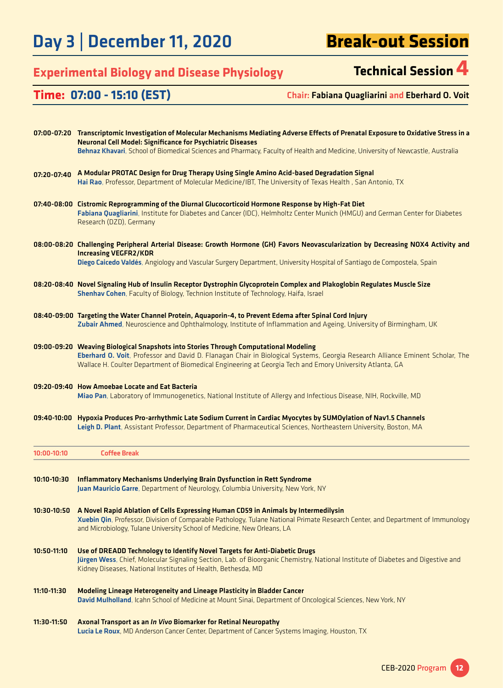Day 3 | December 11, 2020

# **Break-out Session**

# **Experimental Biology and Disease Physiology Technical Session 4**

## **Time: 07:00 - 15:10 (EST)** Chair: Fabiana Quagliarini and Eberhard O. Voit

|             | 07:00-07:20 Transcriptomic Investigation of Molecular Mechanisms Mediating Adverse Effects of Prenatal Exposure to Oxidative Stress in a<br><b>Neuronal Cell Model: Significance for Psychiatric Diseases</b>                             |
|-------------|-------------------------------------------------------------------------------------------------------------------------------------------------------------------------------------------------------------------------------------------|
|             | Behnaz Khavari, School of Biomedical Sciences and Pharmacy, Faculty of Health and Medicine, University of Newcastle, Australia                                                                                                            |
| 07:20-07:40 | A Modular PROTAC Design for Drug Therapy Using Single Amino Acid-based Degradation Signal                                                                                                                                                 |
|             | Hai Rao, Professor, Department of Molecular Medicine/IBT, The University of Texas Health, San Antonio, TX                                                                                                                                 |
|             | 07:40-08:00 Cistromic Reprogramming of the Diurnal Glucocorticoid Hormone Response by High-Fat Diet                                                                                                                                       |
|             | Fabiana Quagliarini, Institute for Diabetes and Cancer (IDC), Helmholtz Center Munich (HMGU) and German Center for Diabetes<br>Research (DZD), Germany                                                                                    |
|             | 08:00-08:20 Challenging Peripheral Arterial Disease: Growth Hormone (GH) Favors Neovascularization by Decreasing NOX4 Activity and<br><b>Increasing VEGFR2/KDR</b>                                                                        |
|             | Diego Caicedo Valdés, Angiology and Vascular Surgery Department, University Hospital of Santiago de Compostela, Spain                                                                                                                     |
|             | 08:20-08:40 Novel Signaling Hub of Insulin Receptor Dystrophin Glycoprotein Complex and Plakoglobin Regulates Muscle Size<br>Shenhav Cohen, Faculty of Biology, Technion Institute of Technology, Haifa, Israel                           |
|             | 08:40-09:00 Targeting the Water Channel Protein, Aquaporin-4, to Prevent Edema after Spinal Cord Injury<br>Zubair Ahmed, Neuroscience and Ophthalmology, Institute of Inflammation and Ageing, University of Birmingham, UK               |
|             | 09:00-09:20 Weaving Biological Snapshots into Stories Through Computational Modeling                                                                                                                                                      |
|             | Eberhard O. Voit, Professor and David D. Flanagan Chair in Biological Systems, Georgia Research Alliance Eminent Scholar, The<br>Wallace H. Coulter Department of Biomedical Engineering at Georgia Tech and Emory University Atlanta, GA |
|             | 09:20-09:40 How Amoebae Locate and Eat Bacteria                                                                                                                                                                                           |
|             | Miao Pan, Laboratory of Immunogenetics, National Institute of Allergy and Infectious Disease, NIH, Rockville, MD                                                                                                                          |
|             | 09:40-10:00 Hypoxia Produces Pro-arrhythmic Late Sodium Current in Cardiac Myocytes by SUMOylation of Nav1.5 Channels<br>Leigh D. Plant, Assistant Professor, Department of Pharmaceutical Sciences, Northeastern University, Boston, MA  |
| 10:00-10:10 | <b>Coffee Break</b>                                                                                                                                                                                                                       |
|             |                                                                                                                                                                                                                                           |
| 10:10-10:30 | <b>Inflammatory Mechanisms Underlying Brain Dysfunction in Rett Syndrome</b><br>Juan Mauricio Garre, Department of Neurology, Columbia University, New York, NY                                                                           |
|             | 10:30-10:50 A Novel Rapid Ablation of Cells Expressing Human CD59 in Animals by Intermedilysin                                                                                                                                            |
|             | Xuebin Qin, Professor, Division of Comparable Pathology, Tulane National Primate Research Center, and Department of Immunology<br>and Microbiology, Tulane University School of Medicine, New Orleans, LA                                 |
| 10:50-11:10 | Use of DREADD Technology to Identify Novel Targets for Anti-Diabetic Drugs<br>Jürgen Wess, Chief, Molecular Signaling Section, Lab. of Bioorganic Chemistry, National Institute of Diabetes and Digestive and                             |
|             | Kidney Diseases, National Institutes of Health, Bethesda, MD                                                                                                                                                                              |
| 11:10-11:30 | Modeling Lineage Heterogeneity and Lineage Plasticity in Bladder Cancer                                                                                                                                                                   |
|             | David Mulholland, Icahn School of Medicine at Mount Sinai, Department of Oncological Sciences, New York, NY                                                                                                                               |
| 11:30-11:50 | Axonal Transport as an In Vivo Biomarker for Retinal Neuropathy<br>Lucia Le Roux, MD Anderson Cancer Center, Department of Cancer Systems Imaging, Houston, TX                                                                            |
|             |                                                                                                                                                                                                                                           |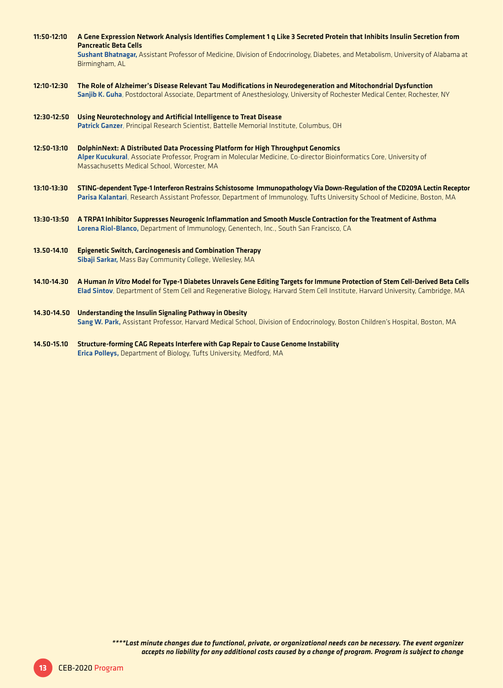| 11:50-12:10   | A Gene Expression Network Analysis Identifies Complement 1 g Like 3 Secreted Protein that Inhibits Insulin Secretion from<br><b>Pancreatic Beta Cells</b><br>Sushant Bhatnagar, Assistant Professor of Medicine, Division of Endocrinology, Diabetes, and Metabolism, University of Alabama at<br>Birmingham, AL |
|---------------|------------------------------------------------------------------------------------------------------------------------------------------------------------------------------------------------------------------------------------------------------------------------------------------------------------------|
| 12:10-12:30   | The Role of Alzheimer's Disease Relevant Tau Modifications in Neurodegeneration and Mitochondrial Dysfunction<br>Sanjib K. Guha, Postdoctoral Associate, Department of Anesthesiology, University of Rochester Medical Center, Rochester, NY                                                                     |
| 12:30-12:50   | Using Neurotechnology and Artificial Intelligence to Treat Disease<br>Patrick Ganzer, Principal Research Scientist, Battelle Memorial Institute, Columbus, OH                                                                                                                                                    |
| $12:50-13:10$ | DolphinNext: A Distributed Data Processing Platform for High Throughput Genomics<br>Alper Kucukural, Associate Professor, Program in Molecular Medicine, Co-director Bioinformatics Core, University of<br>Massachusetts Medical School, Worcester, MA                                                           |
| $13:10-13:30$ | STING-dependent Type-1 Interferon Restrains Schistosome Immunopathology Via Down-Regulation of the CD209A Lectin Receptor<br>Parisa Kalantari, Research Assistant Professor, Department of Immunology, Tufts University School of Medicine, Boston, MA                                                           |
| $13:30-13:50$ | A TRPA1 Inhibitor Suppresses Neurogenic Inflammation and Smooth Muscle Contraction for the Treatment of Asthma<br>Lorena Riol-Blanco, Department of Immunology, Genentech, Inc., South San Francisco, CA                                                                                                         |
| 13.50-14.10   | <b>Epigenetic Switch, Carcinogenesis and Combination Therapy</b><br>Sibaji Sarkar, Mass Bay Community College, Wellesley, MA                                                                                                                                                                                     |
| 14.10-14.30   | A Human In Vitro Model for Type-1 Diabetes Unravels Gene Editing Targets for Immune Protection of Stem Cell-Derived Beta Cells<br>Elad Sintov, Department of Stem Cell and Regenerative Biology, Harvard Stem Cell Institute, Harvard University, Cambridge, MA                                                  |
| 14.30-14.50   | <b>Understanding the Insulin Signaling Pathway in Obesity</b><br>Sang W. Park, Assistant Professor, Harvard Medical School, Division of Endocrinology, Boston Children's Hospital, Boston, MA                                                                                                                    |

14.50-15.10 Structure-forming CAG Repeats Interfere with Gap Repair to Cause Genome Instability Erica Polleys, Department of Biology, Tufts University, Medford, MA